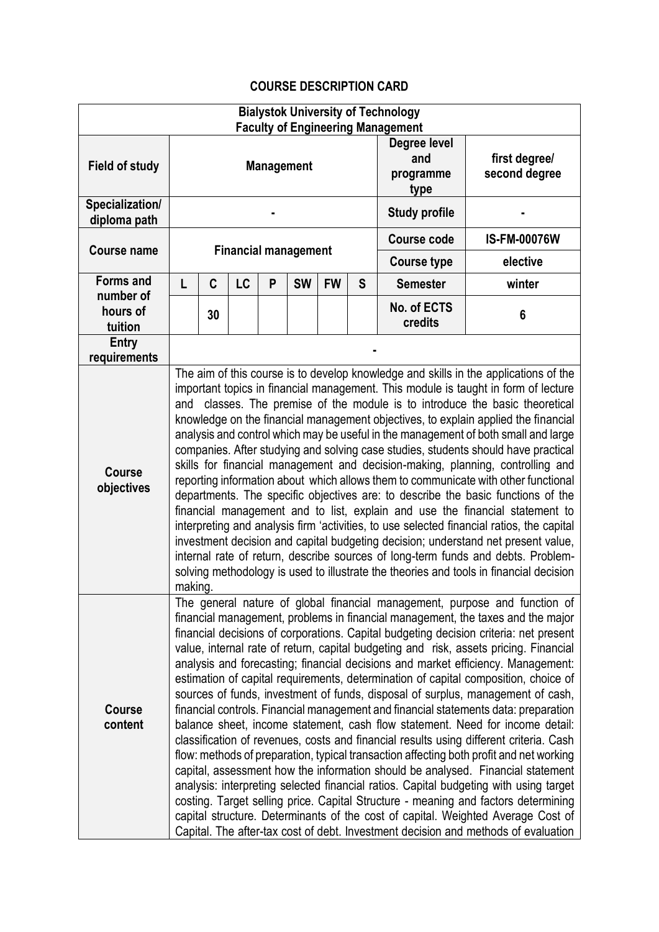## **COURSE DESCRIPTION CARD**

|                                                      |                                                                                                                                                                                                                                                                                                                                                                                                                                                                                                                                                                                                                                                                                                                                                                                                                                                                                                                                                                                                                                                                                                                                                                                                                                                                                                                                                                                                                        |    |    |   |           |           |                    | <b>Bialystok University of Technology</b> |                                |
|------------------------------------------------------|------------------------------------------------------------------------------------------------------------------------------------------------------------------------------------------------------------------------------------------------------------------------------------------------------------------------------------------------------------------------------------------------------------------------------------------------------------------------------------------------------------------------------------------------------------------------------------------------------------------------------------------------------------------------------------------------------------------------------------------------------------------------------------------------------------------------------------------------------------------------------------------------------------------------------------------------------------------------------------------------------------------------------------------------------------------------------------------------------------------------------------------------------------------------------------------------------------------------------------------------------------------------------------------------------------------------------------------------------------------------------------------------------------------------|----|----|---|-----------|-----------|--------------------|-------------------------------------------|--------------------------------|
| Field of study                                       | <b>Faculty of Engineering Management</b><br><b>Management</b>                                                                                                                                                                                                                                                                                                                                                                                                                                                                                                                                                                                                                                                                                                                                                                                                                                                                                                                                                                                                                                                                                                                                                                                                                                                                                                                                                          |    |    |   |           |           |                    | Degree level<br>and<br>programme<br>type  | first degree/<br>second degree |
| Specialization/<br>diploma path                      |                                                                                                                                                                                                                                                                                                                                                                                                                                                                                                                                                                                                                                                                                                                                                                                                                                                                                                                                                                                                                                                                                                                                                                                                                                                                                                                                                                                                                        |    |    |   |           |           |                    | <b>Study profile</b>                      |                                |
| <b>Course name</b>                                   | <b>Financial management</b>                                                                                                                                                                                                                                                                                                                                                                                                                                                                                                                                                                                                                                                                                                                                                                                                                                                                                                                                                                                                                                                                                                                                                                                                                                                                                                                                                                                            |    |    |   |           |           |                    | Course code                               | <b>IS-FM-00076W</b>            |
|                                                      |                                                                                                                                                                                                                                                                                                                                                                                                                                                                                                                                                                                                                                                                                                                                                                                                                                                                                                                                                                                                                                                                                                                                                                                                                                                                                                                                                                                                                        |    |    |   |           |           | <b>Course type</b> | elective                                  |                                |
| <b>Forms and</b><br>number of<br>hours of<br>tuition | L                                                                                                                                                                                                                                                                                                                                                                                                                                                                                                                                                                                                                                                                                                                                                                                                                                                                                                                                                                                                                                                                                                                                                                                                                                                                                                                                                                                                                      | C  | LC | P | <b>SW</b> | <b>FW</b> | S                  | <b>Semester</b>                           | winter                         |
|                                                      |                                                                                                                                                                                                                                                                                                                                                                                                                                                                                                                                                                                                                                                                                                                                                                                                                                                                                                                                                                                                                                                                                                                                                                                                                                                                                                                                                                                                                        | 30 |    |   |           |           |                    | No. of ECTS<br>credits                    | $6\phantom{1}6$                |
| <b>Entry</b><br>requirements                         |                                                                                                                                                                                                                                                                                                                                                                                                                                                                                                                                                                                                                                                                                                                                                                                                                                                                                                                                                                                                                                                                                                                                                                                                                                                                                                                                                                                                                        |    |    |   |           |           |                    |                                           |                                |
| <b>Course</b><br>objectives                          | The aim of this course is to develop knowledge and skills in the applications of the<br>important topics in financial management. This module is taught in form of lecture<br>classes. The premise of the module is to introduce the basic theoretical<br>and<br>knowledge on the financial management objectives, to explain applied the financial<br>analysis and control which may be useful in the management of both small and large<br>companies. After studying and solving case studies, students should have practical<br>skills for financial management and decision-making, planning, controlling and<br>reporting information about which allows them to communicate with other functional<br>departments. The specific objectives are: to describe the basic functions of the<br>financial management and to list, explain and use the financial statement to<br>interpreting and analysis firm 'activities, to use selected financial ratios, the capital<br>investment decision and capital budgeting decision; understand net present value,<br>internal rate of return, describe sources of long-term funds and debts. Problem-<br>solving methodology is used to illustrate the theories and tools in financial decision<br>making.                                                                                                                                                                 |    |    |   |           |           |                    |                                           |                                |
| <b>Course</b><br>content                             | The general nature of global financial management, purpose and function of<br>financial management, problems in financial management, the taxes and the major<br>financial decisions of corporations. Capital budgeting decision criteria: net present<br>value, internal rate of return, capital budgeting and risk, assets pricing. Financial<br>analysis and forecasting; financial decisions and market efficiency. Management:<br>estimation of capital requirements, determination of capital composition, choice of<br>sources of funds, investment of funds, disposal of surplus, management of cash,<br>financial controls. Financial management and financial statements data: preparation<br>balance sheet, income statement, cash flow statement. Need for income detail:<br>classification of revenues, costs and financial results using different criteria. Cash<br>flow: methods of preparation, typical transaction affecting both profit and net working<br>capital, assessment how the information should be analysed. Financial statement<br>analysis: interpreting selected financial ratios. Capital budgeting with using target<br>costing. Target selling price. Capital Structure - meaning and factors determining<br>capital structure. Determinants of the cost of capital. Weighted Average Cost of<br>Capital. The after-tax cost of debt. Investment decision and methods of evaluation |    |    |   |           |           |                    |                                           |                                |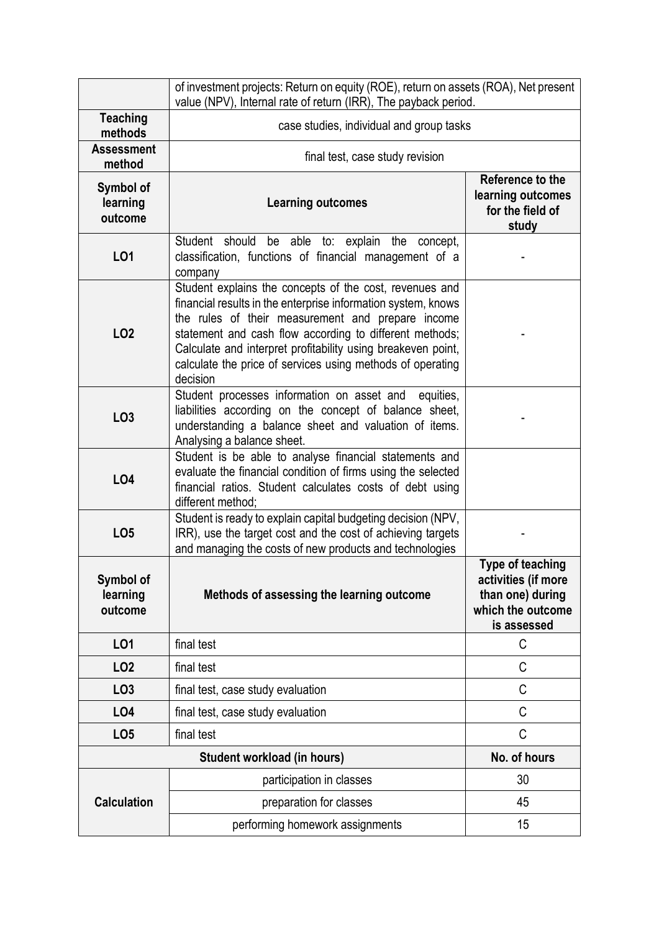|                                             | of investment projects: Return on equity (ROE), return on assets (ROA), Net present<br>value (NPV), Internal rate of return (IRR), The payback period.                                                                                                                                                                                                                             |                                                                                                        |  |  |  |  |  |  |
|---------------------------------------------|------------------------------------------------------------------------------------------------------------------------------------------------------------------------------------------------------------------------------------------------------------------------------------------------------------------------------------------------------------------------------------|--------------------------------------------------------------------------------------------------------|--|--|--|--|--|--|
| <b>Teaching</b><br>methods                  | case studies, individual and group tasks                                                                                                                                                                                                                                                                                                                                           |                                                                                                        |  |  |  |  |  |  |
| <b>Assessment</b><br>method                 | final test, case study revision                                                                                                                                                                                                                                                                                                                                                    |                                                                                                        |  |  |  |  |  |  |
| Symbol of<br>learning<br>outcome            | <b>Learning outcomes</b>                                                                                                                                                                                                                                                                                                                                                           | Reference to the<br>learning outcomes<br>for the field of<br>study                                     |  |  |  |  |  |  |
| L01                                         | Student should<br>be able to: explain the<br>concept,<br>classification, functions of financial management of a<br>company                                                                                                                                                                                                                                                         |                                                                                                        |  |  |  |  |  |  |
| <b>LO2</b>                                  | Student explains the concepts of the cost, revenues and<br>financial results in the enterprise information system, knows<br>the rules of their measurement and prepare income<br>statement and cash flow according to different methods;<br>Calculate and interpret profitability using breakeven point,<br>calculate the price of services using methods of operating<br>decision |                                                                                                        |  |  |  |  |  |  |
| LO <sub>3</sub>                             | Student processes information on asset and<br>equities,<br>liabilities according on the concept of balance sheet,<br>understanding a balance sheet and valuation of items.<br>Analysing a balance sheet.                                                                                                                                                                           |                                                                                                        |  |  |  |  |  |  |
| LO4                                         | Student is be able to analyse financial statements and<br>evaluate the financial condition of firms using the selected<br>financial ratios. Student calculates costs of debt using<br>different method:                                                                                                                                                                            |                                                                                                        |  |  |  |  |  |  |
| LO <sub>5</sub>                             | Student is ready to explain capital budgeting decision (NPV,<br>IRR), use the target cost and the cost of achieving targets<br>and managing the costs of new products and technologies                                                                                                                                                                                             |                                                                                                        |  |  |  |  |  |  |
| Symbol of<br>learning<br>outcome            | Methods of assessing the learning outcome                                                                                                                                                                                                                                                                                                                                          | <b>Type of teaching</b><br>activities (if more<br>than one) during<br>which the outcome<br>is assessed |  |  |  |  |  |  |
| L01                                         | final test                                                                                                                                                                                                                                                                                                                                                                         | C                                                                                                      |  |  |  |  |  |  |
| LO <sub>2</sub>                             | final test                                                                                                                                                                                                                                                                                                                                                                         | C                                                                                                      |  |  |  |  |  |  |
| LO <sub>3</sub>                             | final test, case study evaluation                                                                                                                                                                                                                                                                                                                                                  | C                                                                                                      |  |  |  |  |  |  |
| L04                                         | final test, case study evaluation                                                                                                                                                                                                                                                                                                                                                  | C                                                                                                      |  |  |  |  |  |  |
| LO <sub>5</sub>                             | final test                                                                                                                                                                                                                                                                                                                                                                         | $\mathsf C$                                                                                            |  |  |  |  |  |  |
| No. of hours<br>Student workload (in hours) |                                                                                                                                                                                                                                                                                                                                                                                    |                                                                                                        |  |  |  |  |  |  |
| <b>Calculation</b>                          | participation in classes                                                                                                                                                                                                                                                                                                                                                           | 30                                                                                                     |  |  |  |  |  |  |
|                                             | preparation for classes                                                                                                                                                                                                                                                                                                                                                            | 45                                                                                                     |  |  |  |  |  |  |
|                                             | performing homework assignments                                                                                                                                                                                                                                                                                                                                                    | 15                                                                                                     |  |  |  |  |  |  |